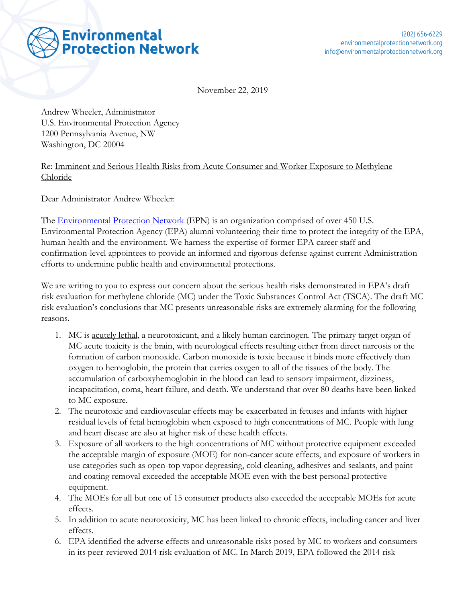

November 22, 2019

Andrew Wheeler, Administrator U.S. Environmental Protection Agency 1200 Pennsylvania Avenue, NW Washington, DC 20004

## Re: Imminent and Serious Health Risks from Acute Consumer and Worker Exposure to Methylene Chloride

Dear Administrator Andrew Wheeler:

The [Environmental Protection Network](https://www.environmentalprotectionnetwork.org/) (EPN) is an organization comprised of over 450 U.S. Environmental Protection Agency (EPA) alumni volunteering their time to protect the integrity of the EPA, human health and the environment. We harness the expertise of former EPA career staff and confirmation-level appointees to provide an informed and rigorous defense against current Administration efforts to undermine public health and environmental protections.

We are writing to you to express our concern about the serious health risks demonstrated in EPA's draft risk evaluation for methylene chloride (MC) under the Toxic Substances Control Act (TSCA). The draft MC risk evaluation's conclusions that MC presents unreasonable risks are extremely alarming for the following reasons.

- 1. MC is <u>acutely lethal</u>, a neurotoxicant, and a likely human carcinogen. The primary target organ of MC acute toxicity is the brain, with neurological effects resulting either from direct narcosis or the formation of carbon monoxide. Carbon monoxide is toxic because it binds more effectively than oxygen to hemoglobin, the protein that carries oxygen to all of the tissues of the body. The accumulation of carboxyhemoglobin in the blood can lead to sensory impairment, dizziness, incapacitation, coma, heart failure, and death. We understand that over 80 deaths have been linked to MC exposure.
- 2. The neurotoxic and cardiovascular effects may be exacerbated in fetuses and infants with higher residual levels of fetal hemoglobin when exposed to high concentrations of MC. People with lung and heart disease are also at higher risk of these health effects.
- 3. Exposure of all workers to the high concentrations of MC without protective equipment exceeded the acceptable margin of exposure (MOE) for non-cancer acute effects, and exposure of workers in use categories such as open-top vapor degreasing, cold cleaning, adhesives and sealants, and paint and coating removal exceeded the acceptable MOE even with the best personal protective equipment.
- 4. The MOEs for all but one of 15 consumer products also exceeded the acceptable MOEs for acute effects.
- 5. In addition to acute neurotoxicity, MC has been linked to chronic effects, including cancer and liver effects.
- 6. EPA identified the adverse effects and unreasonable risks posed by MC to workers and consumers in its peer-reviewed 2014 risk evaluation of MC. In March 2019, EPA followed the 2014 risk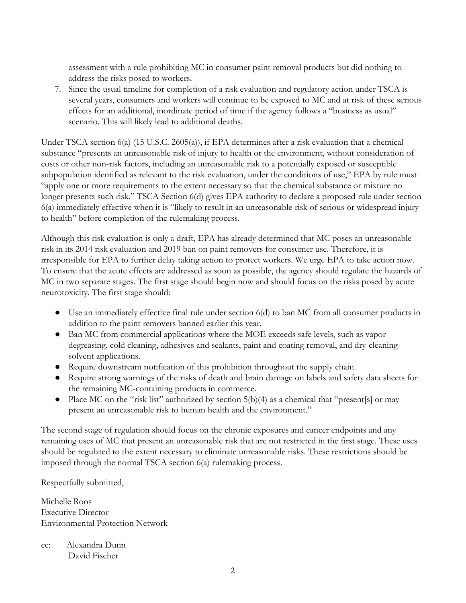assessment with a rule prohibiting MC in consumer paint removal products but did nothing to address the risks posed to workers.

7. Since the usual timeline for completion of a risk evaluation and regulatory action under TSCA is several years, consumers and workers will continue to be exposed to MC and at risk of these serious effects for an additional, inordinate period of time if the agency follows a "business as usual" scenario. This will likely lead to additional deaths.

Under TSCA section 6(a) (15 U.S.C. 2605(a)), if EPA determines after a risk evaluation that a chemical substance "presents an unreasonable risk of injury to health or the environment, without consideration of costs or other non-risk factors, including an unreasonable risk to a potentially exposed or susceptible subpopulation identified as relevant to the risk evaluation, under the conditions of use," EPA by rule must "apply one or more requirements to the extent necessary so that the chemical substance or mixture no longer presents such risk." TSCA Section 6(d) gives EPA authority to declare a proposed rule under section 6(a) immediately effective when it is "likely to result in an unreasonable risk of serious or widespread injury to health" before completion of the rulemaking process.

Although this risk evaluation is only a draft, EPA has already determined that MC poses an unreasonable risk in its 2014 risk evaluation and 2019 ban on paint removers for consumer use. Therefore, it is irresponsible for EPA to further delay taking action to protect workers. We urge EPA to take action now. To ensure that the acute effects are addressed as soon as possible, the agency should regulate the hazards of MC in two separate stages. The first stage should begin now and should focus on the risks posed by acute neurotoxicity. The first stage should:

- Use an immediately effective final rule under section 6(d) to ban MC from all consumer products in addition to the paint removers banned earlier this year.
- Ban MC from commercial applications where the MOE exceeds safe levels, such as vapor degreasing, cold cleaning, adhesives and sealants, paint and coating removal, and dry-cleaning solvent applications.
- Require downstream notification of this prohibition throughout the supply chain.
- Require strong warnings of the risks of death and brain damage on labels and safety data sheets for the remaining MC-containing products in commerce.
- Place MC on the "risk list" authorized by section 5(b)(4) as a chemical that "present[s] or may present an unreasonable risk to human health and the environment."

The second stage of regulation should focus on the chronic exposures and cancer endpoints and any remaining uses of MC that present an unreasonable risk that are not restricted in the first stage. These uses should be regulated to the extent necessary to eliminate unreasonable risks. These restrictions should be imposed through the normal TSCA section 6(a) rulemaking process.

Respectfully submitted,

Michelle Roos Executive Director Environmental Protection Network

cc: Alexandra Dunn David Fischer